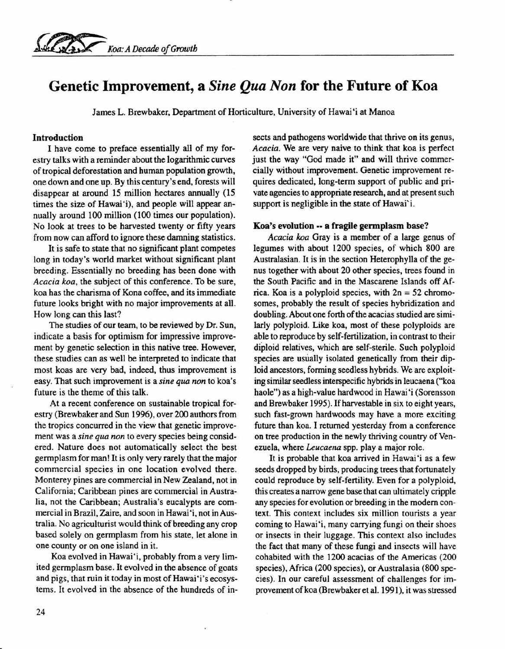# **Genetic Improvement, a** *Sine Qua Non* **for the Future of Koa**

James L. Brewbaker, Department of Horticulture, University of Hawai'i at Manoa

### Introduction

I have come to preface essentially all of my forestry talks with a reminder about the logarithmic curves of tropical deforestation and human population growth, one down and one up. By this century's end, forests will disappear at around 15 million hectares annually (15 times the size of Hawai'i), and people will appear annually around 100 million (100 times our population). No look at trees to be harvested twenty or fifty years from now can afford to ignore these damning statistics.

It is safe to state that no significant plant competes long in today's world market without significant plant breeding. Essentially no breeding has been done with *Acacia koa,* the subject of this conference. To be sure, koa has the charisma of Kona coffee, and its immediate future looks bright with no major improvements at all. How long can this last?

The studies of our team, to be reviewed by Dr. Sun, indicate a basis for optimism for impressive improvement by genetic selection in this native tree. However, these studies can as well be interpreted to indicate that most koas are very bad, indeed, thus improvement is easy. That such improvement is a *sine qua non* to koa's future is the theme of this talk.

At a recent conference on sustainable tropical forestry (Brewbaker and Sun 1996), over 200 authors from the tropics concurred in the view that genetic improvement was a *sine qua non* to every species being considered. Nature does not automatically select the best germplasm for man! It is only very rarely that the major commercial species in one location evolved there. Monterey pines are commercial in New Zealand, not in California; Caribbean pines are commercial in Australia, not the Caribbean; Australia's eucalypts are commercial in Brazil, Zaire, and soon in Hawai 'i, not in Australia. No agriculturist would think of breeding any crop based solely on germplasm from his state, let alone in one county or on one island in it.

Koa evolved in Hawai"i, probably from a very limited germplasm base. It evolved in the absence of goats and pigs, that ruin it today in most of Hawai 'i 's ecosystems. It evolved in the absence of the hundreds of insects and pathogens worldwide that thrive on its genus, *Acacia.* We are very naive to think that koa is perfect just the way "God made it" and will thrive commercially without improvement. Genetic improvement requires dedicated, long-term support of public and private agencies to appropriate research, and at present such support is negligible in the state of Hawai'i.

#### Koa's evolution -- a fragile germplasm base?

*Acacia koa* Gray is a member of a large genus of legumes with about 1200 species, of which 800 are Australasian. It is in the section Heterophylla of the genus together with about 20 other species, trees found in the South Pacific and in the Mascarene Islands off Africa. Koa is a polyploid species, with  $2n = 52$  chromosomes, probably the result of species hybridization and doubling. About one forth of the acacias studied are similarly polyploid. Like koa, most of these polyploids are able to reproduce by self-fertilization, in contrast to their diploid relatives, which are self-sterile. Such polyploid species are usually isolated genetically from their diploid ancestors, forming seedless hybrids. We are exploiting similar seedless interspecific hybrids in leucaena ("koa haole") as a high-value hardwood in Hawai'i (Sorensson and Brewbaker 1995). If harvestable in six to eight years, such fast-grown hardwoods may have a more exciting future than koa. I returned yesterday from a conference on tree production in the newly thriving country of Venezuela, where *Leucaena* spp. playa major role.

It is probable that koa arrived in Hawai'i as a few seeds dropped by birds, producing trees that fortunately could reproduce by self-fertility. Even for a polyploid, this creates a narrow gene base that can ultimately cripple any species for evolution or breeding in the modem context. This context includes six million tourists a year coming to Hawai'i, many carrying fungi on their shoes or insects in their luggage. This context also includes the fact that many of these fungi and insects will have cohabited with the 1200 acacias of the Americas (200 species), Africa (200 species), or Australasia (800 species). In our careful assessment of challenges for improvement of koa (Brewbaker et al. 1991), it was stressed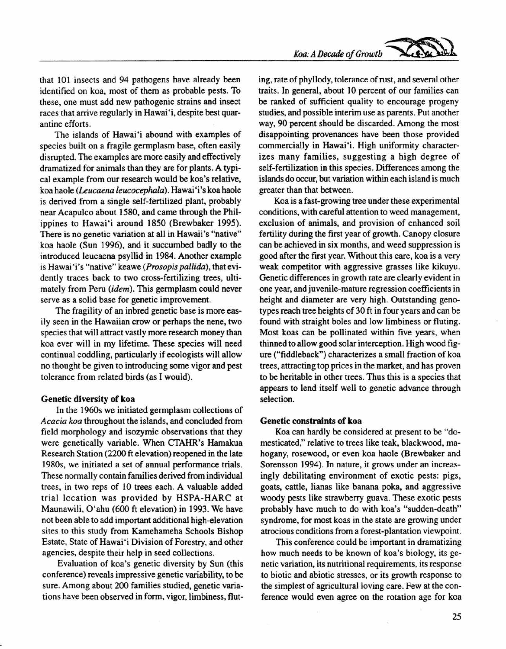that 101 insects and 94 pathogens have already been identified on koa, most of them as probable pests. To these, one must add new pathogenic strains and insect races that arrive regularly in Hawai 'i, despite best quarantine efforts.

The islands of Hawai'i abound with examples of species built on a fragile germplasm base, often easily disrupted. The examples are more easily and effectively dramatized for animals than they are for plants. A typical example from our research would be koa's relative, koa haole *(Leucaena leucocephala).* Hawai 'i's koa haole is derived from a single self-fertilized plant, probably near Acapulco about 1580, and came through the Philippines to Hawai'i around 1850 (Brewbaker 1995). There is no genetic variation at all in Hawaii's "native" koa haole (Sun 1996), and it succumbed badly to the introduced leucaena psyllid in 1984. Another example is Hawai 'i 's "native" keawe *(Prosopis pallida),* that evidently traces back to two cross-fertilizing trees, ultimately from Peru *(idem).* This germplasm could never serve as a solid base for genetic improvement.

The fragility of an inbred genetic base is more easily seen in the Hawaiian crow or perhaps the nene, two species that will attract vastly more research money than koa ever will in my lifetime. These species will need continual coddling, particularly if ecologists will allow no thought be given to introducing some vigor and pest tolerance from related birds (as I would).

#### Genetic diversity of koa

In the 1960s we initiated germplasm collections of *Acacia koa* throughout the islands, and concluded from field morphology and isozymic observations that they were genetically variable. When CTAHR's Hamakua Research Station (2200 ft elevation) reopened in the late 1980s, we initiated a set of annual performance trials. These normally contain families derived from individual trees, in two reps of 10 trees each. A valuable added trial location was provided by HSPA-HARC at Maunawili, O'ahu (600 ft elevation) in 1993. We have not been able to add important additional high-elevation sites to this study from Kamehameha Schools Bishop Estate, State of Hawai 'i Division of Forestry, and other agencies, despite their help in seed collections.

Evaluation of koa's genetic diversity by Sun (this conference) reveals impressive genetic variability, to be sure. Among about 200 families studied, genetic variations have been observed in form, vigor, limbiness, fluting, rate of phyllody, tolerance of rust, and several other traits. In general, about 10 percent of our families can be ranked of sufficient quality to encourage progeny studies, and possible interim use as parents. Put another way, 90 percent should be discarded. Among the most disappointing provenances have been those provided commercially in Hawai'i. High uniformity characterizes many families, suggesting a high degree of self-fertilization in this species. Differences among the islands do occur, but variation within each island is much greater than that between.

Koa is a fast-growing tree under these experimental conditions, with careful attention to weed management, exclusion of animals, and provision of enhanced soil fertility during the first year of growth. Canopy closure can be achieved in six months, and weed suppression is good after the first year. Without this care, koa is a very weak competitor with aggressive grasses like kikuyu. Genetic differences in growth rate are clearly evident in one year, and juvenile-mature regression coefficients in height and diameter are very high. Outstanding genotypes reach tree heights of 30 ft in four years and can be found with straight boles and low limbiness or fluting. Most koas can be pollinated within five years, when thinned to allow good solar interception. High wood figure ("fiddleback") characterizes a small fraction of koa trees, attracting top prices in the market; and has proven to be heritable in other trees. Thus this is a species that appears to lend itself well to genetic advance through selection.

#### Genetic constraints of koa

Koa can hardly be considered at present to be "domesticated," relative to trees like teak, blackwood, mahogany, rosewood, or even koa haole (Brewbaker and Sorensson 1994). In nature, it grows under an increasingly debilitating environment of exotic pests: pigs, goats, cattle, lianas like banana poka, and aggressive woody pests like strawberry guava. These exotic pests probably have much to do with koa's "sudden-death" syndrome, for most koas in the state are growing under atrocious conditions from a forest-plantation viewpoint.

This conference could be important in dramatizing how much needs to be known of koa's biology, its genetic variation, its nutritional requirements, its response to biotic and abiotic stresses, or its growth response to the simplest of agricultural loving care. Few at the conference would even agree on the rotation age for koa